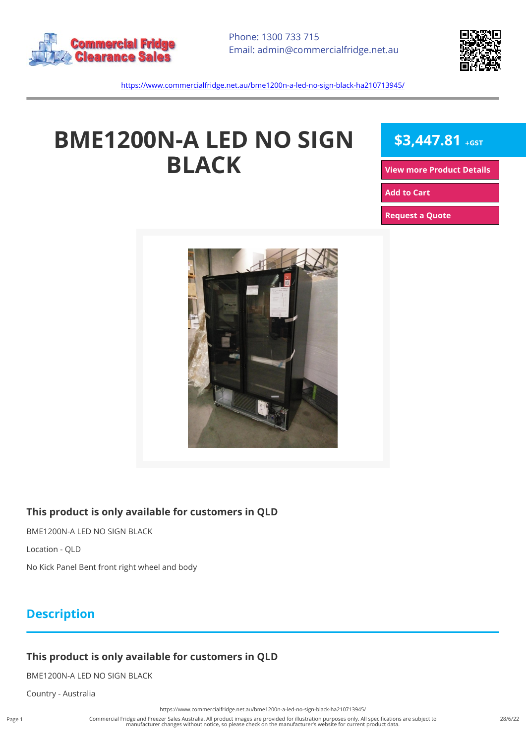



<https://www.commercialfridge.net.au/bme1200n-a-led-no-sign-black-ha210713945/>

# **BME1200N-A LED NO SIGN BLACK**

**\$3,447.81 +GST**

**[View more Product Details](https://www.commercialfridge.net.au/bme1200n-a-led-no-sign-black-ha210713945/)**

**[Add to Cart](https://www.commercialfridge.net.au/bme1200n-a-led-no-sign-black-ha210713945/?addtocart=1)** 

**[Request a Quote](https://www.commercialfridge.net.au/bme1200n-a-led-no-sign-black-ha210713945/?requestaquote=1)** 



#### **This product is only available for customers in QLD**

BME1200N-A LED NO SIGN BLACK

Location - QLD

No Kick Panel Bent front right wheel and body

### **Description**

#### **This product is only available for customers in QLD**

BME1200N-A LED NO SIGN BLACK

Country - Australia

<https://www.commercialfridge.net.au/bme1200n-a-led-no-sign-black-ha210713945/>

Commercial Fridge and Freezer Sales Australia. All product images are provided for illustration purposes only. All specifications are subject to<br>manufacturer changes without notice, so please check on the manufacturer's we